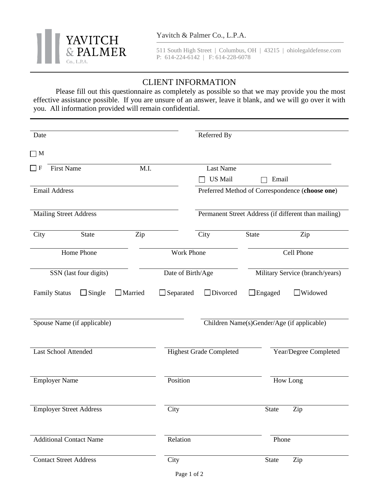

511 South High Street | Columbus, OH | 43215 | ohiolegaldefense.com P: 614-224-6142 | F: 614-228-6078

## CLIENT INFORMATION

Please fill out this questionnaire as completely as possible so that we may provide you the most effective assistance possible. If you are unsure of an answer, leave it blank, and we will go over it with you. All information provided will remain confidential.

| Date                           |                          |                   | Referred By                                          |                                 |                       |  |
|--------------------------------|--------------------------|-------------------|------------------------------------------------------|---------------------------------|-----------------------|--|
| $\Box$ M                       |                          |                   |                                                      |                                 |                       |  |
| <b>First Name</b><br>$\Box$ F  | M.I.                     |                   | <b>Last Name</b>                                     |                                 |                       |  |
|                                |                          |                   | <b>US Mail</b>                                       | Email                           |                       |  |
| <b>Email Address</b>           |                          |                   | Preferred Method of Correspondence (choose one)      |                                 |                       |  |
| <b>Mailing Street Address</b>  |                          |                   | Permanent Street Address (if different than mailing) |                                 |                       |  |
| City<br><b>State</b>           | Zip                      |                   | City                                                 | State                           | Zip                   |  |
| Home Phone                     | <b>Work Phone</b>        | Cell Phone        |                                                      |                                 |                       |  |
| SSN (last four digits)         |                          | Date of Birth/Age |                                                      | Military Service (branch/years) |                       |  |
| <b>Family Status</b>           | $\Box$ Married<br>Single | $\Box$ Separated  | $\Box$ Divorced                                      | $\Box$ Engaged                  | Widowed               |  |
| Spouse Name (if applicable)    |                          |                   | Children Name(s)Gender/Age (if applicable)           |                                 |                       |  |
| <b>Last School Attended</b>    |                          |                   | <b>Highest Grade Completed</b>                       |                                 | Year/Degree Completed |  |
| <b>Employer Name</b>           |                          | Position          |                                                      |                                 | How Long              |  |
| <b>Employer Street Address</b> |                          | City              |                                                      | State                           | Zip                   |  |
| <b>Additional Contact Name</b> |                          | Relation          |                                                      | Phone                           |                       |  |
| <b>Contact Street Address</b>  |                          | City              |                                                      | <b>State</b>                    | Zip                   |  |